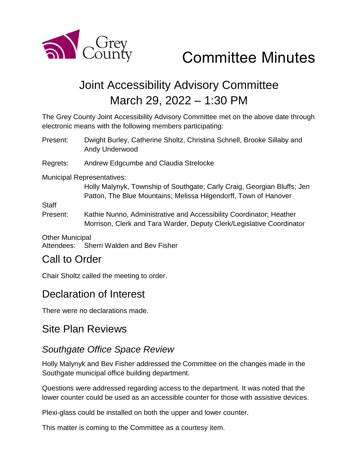

# Committee Minutes

# Joint Accessibility Advisory Committee March 29, 2022 – 1:30 PM

The Grey County Joint Accessibility Advisory Committee met on the above date through electronic means with the following members participating:

Present: Dwight Burley, Catherine Sholtz, Christina Schnell, Brooke Sillaby and Andy Underwood

Regrets: Andrew Edgcumbe and Claudia Strelocke

Municipal Representatives:

Holly Malynyk, Township of Southgate; Carly Craig, Georgian Bluffs; Jen Patton, The Blue Mountains; Melissa Hilgendorff, Town of Hanover

**Staff** 

Present: Kathie Nunno, Administrative and Accessibility Coordinator; Heather Morrison, Clerk and Tara Warder, Deputy Clerk/Legislative Coordinator

Other Municipal Attendees: Sherri Walden and Bev Fisher

### Call to Order

Chair Sholtz called the meeting to order.

### Declaration of Interest

There were no declarations made.

### Site Plan Reviews

### *Southgate Office Space Review*

Holly Malynyk and Bev Fisher addressed the Committee on the changes made in the Southgate municipal office building department.

Questions were addressed regarding access to the department. It was noted that the lower counter could be used as an accessible counter for those with assistive devices.

Plexi-glass could be installed on both the upper and lower counter.

This matter is coming to the Committee as a courtesy item.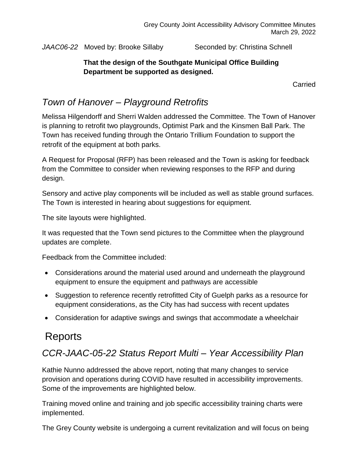JAAC06-22 Moved by: Brooke Sillaby Seconded by: Christina Schnell

#### **That the design of the Southgate Municipal Office Building Department be supported as designed.**

Carried

### *Town of Hanover – Playground Retrofits*

Melissa Hilgendorff and Sherri Walden addressed the Committee. The Town of Hanover is planning to retrofit two playgrounds, Optimist Park and the Kinsmen Ball Park. The Town has received funding through the Ontario Trillium Foundation to support the retrofit of the equipment at both parks.

A Request for Proposal (RFP) has been released and the Town is asking for feedback from the Committee to consider when reviewing responses to the RFP and during design.

Sensory and active play components will be included as well as stable ground surfaces. The Town is interested in hearing about suggestions for equipment.

The site layouts were highlighted.

It was requested that the Town send pictures to the Committee when the playground updates are complete.

Feedback from the Committee included:

- Considerations around the material used around and underneath the playground equipment to ensure the equipment and pathways are accessible
- Suggestion to reference recently retrofitted City of Guelph parks as a resource for equipment considerations, as the City has had success with recent updates
- Consideration for adaptive swings and swings that accommodate a wheelchair

## Reports

### *CCR-JAAC-05-22 Status Report Multi – Year Accessibility Plan*

Kathie Nunno addressed the above report, noting that many changes to service provision and operations during COVID have resulted in accessibility improvements. Some of the improvements are highlighted below.

Training moved online and training and job specific accessibility training charts were implemented.

The Grey County website is undergoing a current revitalization and will focus on being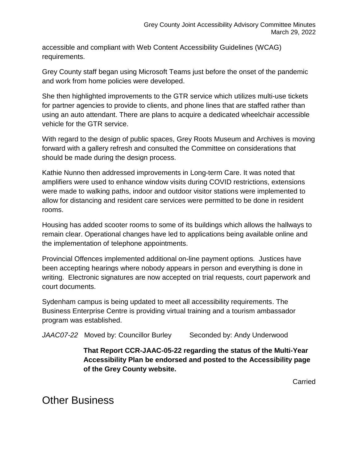accessible and compliant with Web Content Accessibility Guidelines (WCAG) requirements.

Grey County staff began using Microsoft Teams just before the onset of the pandemic and work from home policies were developed.

She then highlighted improvements to the GTR service which utilizes multi-use tickets for partner agencies to provide to clients, and phone lines that are staffed rather than using an auto attendant. There are plans to acquire a dedicated wheelchair accessible vehicle for the GTR service.

With regard to the design of public spaces, Grey Roots Museum and Archives is moving forward with a gallery refresh and consulted the Committee on considerations that should be made during the design process.

Kathie Nunno then addressed improvements in Long-term Care. It was noted that amplifiers were used to enhance window visits during COVID restrictions, extensions were made to walking paths, indoor and outdoor visitor stations were implemented to allow for distancing and resident care services were permitted to be done in resident rooms.

Housing has added scooter rooms to some of its buildings which allows the hallways to remain clear. Operational changes have led to applications being available online and the implementation of telephone appointments.

Provincial Offences implemented additional on-line payment options. Justices have been accepting hearings where nobody appears in person and everything is done in writing. Electronic signatures are now accepted on trial requests, court paperwork and court documents.

Sydenham campus is being updated to meet all accessibility requirements. The Business Enterprise Centre is providing virtual training and a tourism ambassador program was established.

JAAC07-22 Moved by: Councillor Burley Seconded by: Andy Underwood

**That Report CCR-JAAC-05-22 regarding the status of the Multi-Year Accessibility Plan be endorsed and posted to the Accessibility page of the Grey County website.**

Carried

Other Business